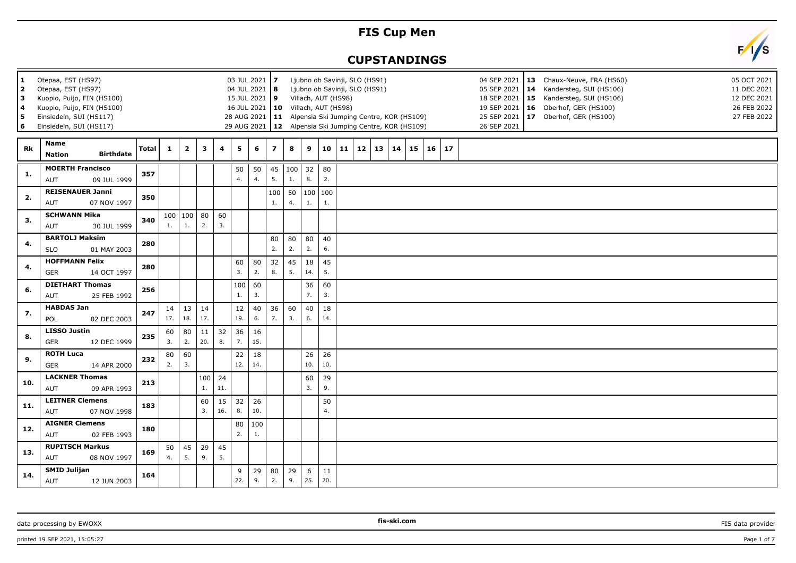## **FIS Cup Men**

## **CUPSTANDINGS**



| 1<br>2<br>  3<br>  4<br>5<br>$6\phantom{a}$ | Otepaa, EST (HS97)<br>Otepaa, EST (HS97)<br>Kuopio, Puijo, FIN (HS100)<br>Kuopio, Puijo, FIN (HS100)<br>Einsiedeln, SUI (HS117)<br>Einsiedeln, SUI (HS117) |              |           |                         |           |           | 03 JUL 2021   7<br>04 JUL 2021 8<br>15 JUL 2021 9 |           |                |            |           | Villach, AUT (HS98)<br>16 JUL 2021   10 Villach, AUT (HS98) |    | Ljubno ob Savinji, SLO (HS91)<br>Ljubno ob Savinji, SLO (HS91)<br>28 AUG 2021   11 Alpensia Ski Jumping Centre, KOR (HS109)<br>29 AUG 2021   12 Alpensia Ski Jumping Centre, KOR (HS109) |                 |    |    |    |    |  | 26 SEP 2021 | 04 SEP 2021   13 Chaux-Neuve, FRA (HS60)<br>05 SEP 2021   14 Kandersteg, SUI (HS106)<br>18 SEP 2021   15 Kandersteg, SUI (HS106)<br>19 SEP 2021   16 Oberhof, GER (HS100)<br>25 SEP 2021   17 Oberhof, GER (HS100) | 05 OCT 2021<br>11 DEC 2021<br>12 DEC 2021<br>26 FEB 2022<br>27 FEB 2022 |
|---------------------------------------------|------------------------------------------------------------------------------------------------------------------------------------------------------------|--------------|-----------|-------------------------|-----------|-----------|---------------------------------------------------|-----------|----------------|------------|-----------|-------------------------------------------------------------|----|------------------------------------------------------------------------------------------------------------------------------------------------------------------------------------------|-----------------|----|----|----|----|--|-------------|--------------------------------------------------------------------------------------------------------------------------------------------------------------------------------------------------------------------|-------------------------------------------------------------------------|
| Rk                                          | <b>Name</b><br><b>Birthdate</b><br><b>Nation</b>                                                                                                           | <b>Total</b> | 1         | $\overline{\mathbf{2}}$ | 3         | 4         | 5                                                 | 6         | $\overline{z}$ | 8          | 9         | 10                                                          | 11 | 12                                                                                                                                                                                       | 13 <sup>1</sup> | 14 | 15 | 16 | 17 |  |             |                                                                                                                                                                                                                    |                                                                         |
| 1.                                          | <b>MOERTH Francisco</b><br>AUT<br>09 JUL 1999                                                                                                              | 357          |           |                         |           |           | 50<br>4.                                          | 50<br>4.  | 45<br>5.       | 100 <br>1. | 32<br>8.  | 80<br>2.                                                    |    |                                                                                                                                                                                          |                 |    |    |    |    |  |             |                                                                                                                                                                                                                    |                                                                         |
| 2.                                          | <b>REISENAUER Janni</b><br>AUT<br>07 NOV 1997                                                                                                              | 350          |           |                         |           |           |                                                   |           | 100<br>1.      | 50<br>4.   | 100<br>1. | 100<br>1.                                                   |    |                                                                                                                                                                                          |                 |    |    |    |    |  |             |                                                                                                                                                                                                                    |                                                                         |
| 3.                                          | <b>SCHWANN Mika</b><br>AUT<br>30 JUL 1999                                                                                                                  | 340          | 1.        | 100   100  <br>1.       | 80<br>2.  | 60<br>3.  |                                                   |           |                |            |           |                                                             |    |                                                                                                                                                                                          |                 |    |    |    |    |  |             |                                                                                                                                                                                                                    |                                                                         |
| 4.                                          | <b>BARTOLJ Maksim</b><br><b>SLO</b><br>01 MAY 2003                                                                                                         | 280          |           |                         |           |           |                                                   |           | 80<br>2.       | 80<br>2.   | 80<br>2.  | 40<br>6.                                                    |    |                                                                                                                                                                                          |                 |    |    |    |    |  |             |                                                                                                                                                                                                                    |                                                                         |
| 4.                                          | <b>HOFFMANN Felix</b><br>GER<br>14 OCT 1997                                                                                                                | 280          |           |                         |           |           | 60<br>3.                                          | 80<br>2.  | 32<br>8.       | 45<br>5.   | 18<br>14. | 45<br>5.                                                    |    |                                                                                                                                                                                          |                 |    |    |    |    |  |             |                                                                                                                                                                                                                    |                                                                         |
| 6.                                          | <b>DIETHART Thomas</b><br><b>AUT</b><br>25 FEB 1992                                                                                                        | 256          |           |                         |           |           | 100<br>1.                                         | 60<br>3.  |                |            | 36<br>7.  | 60<br>3.                                                    |    |                                                                                                                                                                                          |                 |    |    |    |    |  |             |                                                                                                                                                                                                                    |                                                                         |
| 7.                                          | <b>HABDAS Jan</b><br>POL<br>02 DEC 2003                                                                                                                    | 247          | 14<br>17. | 13<br>18.               | 14<br>17. |           | 12<br>19.                                         | 40<br>6.  | 36<br>7.       | 60<br>3.   | 40<br>6.  | 18<br>14.                                                   |    |                                                                                                                                                                                          |                 |    |    |    |    |  |             |                                                                                                                                                                                                                    |                                                                         |
| 8.                                          | <b>LISSO Justin</b><br><b>GER</b><br>12 DEC 1999                                                                                                           | 235          | 60<br>3.  | 80<br>2.                | 11<br>20. | 32<br>8.  | 36<br>7.                                          | 16<br>15. |                |            |           |                                                             |    |                                                                                                                                                                                          |                 |    |    |    |    |  |             |                                                                                                                                                                                                                    |                                                                         |
| 9.                                          | <b>ROTH Luca</b><br>GER<br>14 APR 2000                                                                                                                     | 232          | 80<br>2.  | 60<br>3.                |           |           | 22<br>12.                                         | 18<br>14. |                |            | 26<br>10. | 26<br>10.                                                   |    |                                                                                                                                                                                          |                 |    |    |    |    |  |             |                                                                                                                                                                                                                    |                                                                         |
| 10.                                         | <b>LACKNER Thomas</b><br>AUT<br>09 APR 1993                                                                                                                | 213          |           |                         | 100<br>1. | 24<br>11. |                                                   |           |                |            | 60<br>3.  | 29<br>9.                                                    |    |                                                                                                                                                                                          |                 |    |    |    |    |  |             |                                                                                                                                                                                                                    |                                                                         |
| 11.                                         | <b>LEITNER Clemens</b><br>AUT<br>07 NOV 1998                                                                                                               | 183          |           |                         | 60<br>3.  | 15<br>16. | 32<br>8.                                          | 26<br>10. |                |            |           | 50<br>4.                                                    |    |                                                                                                                                                                                          |                 |    |    |    |    |  |             |                                                                                                                                                                                                                    |                                                                         |
| 12.                                         | <b>AIGNER Clemens</b><br><b>AUT</b><br>02 FEB 1993                                                                                                         | 180          |           |                         |           |           | 80<br>2.                                          | 100<br>1. |                |            |           |                                                             |    |                                                                                                                                                                                          |                 |    |    |    |    |  |             |                                                                                                                                                                                                                    |                                                                         |
| 13.                                         | <b>RUPITSCH Markus</b><br>AUT<br>08 NOV 1997                                                                                                               | 169          | 50<br>4.  | 45<br>5.                | 29<br>9.  | 45<br>5.  |                                                   |           |                |            |           |                                                             |    |                                                                                                                                                                                          |                 |    |    |    |    |  |             |                                                                                                                                                                                                                    |                                                                         |
| 14.                                         | <b>SMID Julijan</b><br>AUT<br>12 JUN 2003                                                                                                                  | 164          |           |                         |           |           | 9<br>22.                                          | 29<br>9.  | 80<br>2.       | 29<br>9.   | 6<br>25.  | 11<br>20.                                                   |    |                                                                                                                                                                                          |                 |    |    |    |    |  |             |                                                                                                                                                                                                                    |                                                                         |

data processing by EWOXX **FIS data provider FIS data provider FIS data provider FIS data provider FIS data provider** 

printed 19 SEP 2021, 15:05:27 Page 1 of 7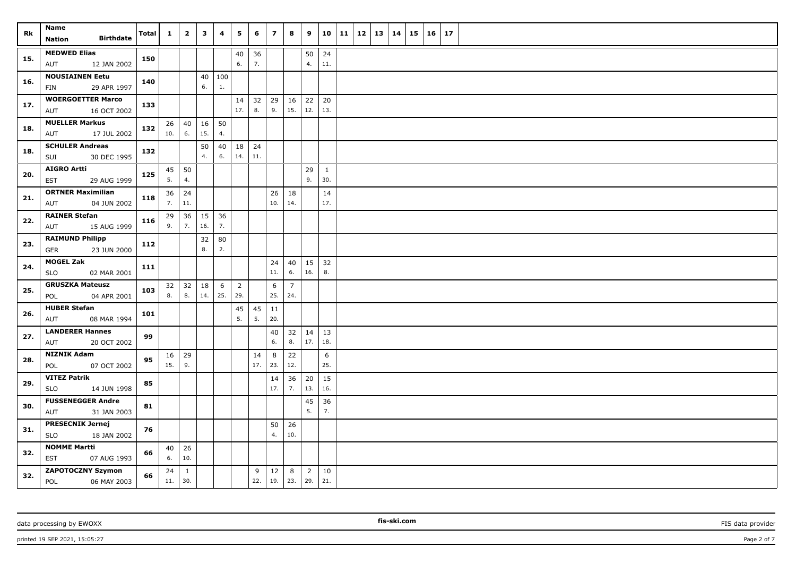| Rk  | Name<br><b>Birthdate</b><br>Nation                   | <b>Total</b> | $\mathbf{1}$ | $\overline{\mathbf{2}}$ | $\mathbf{3}$ | 4         | 5                     | 6         | $\overline{\phantom{a}}$ | 8                     | 9                     | 10                  | 11 | 12 | 13 | $\vert$ 14 | 15 | 16 | 17 |
|-----|------------------------------------------------------|--------------|--------------|-------------------------|--------------|-----------|-----------------------|-----------|--------------------------|-----------------------|-----------------------|---------------------|----|----|----|------------|----|----|----|
| 15. | <b>MEDWED Elias</b>                                  | 150          |              |                         |              |           | 40                    | 36        |                          |                       | 50                    | 24                  |    |    |    |            |    |    |    |
|     | AUT<br>12 JAN 2002                                   |              |              |                         |              |           | 6.                    | 7.        |                          |                       | 4.                    | 11.                 |    |    |    |            |    |    |    |
| 16. | <b>NOUSIAINEN Eetu</b><br>29 APR 1997<br>FIN         | 140          |              |                         | 40<br>6.     | 100<br>1. |                       |           |                          |                       |                       |                     |    |    |    |            |    |    |    |
| 17. | <b>WOERGOETTER Marco</b><br>16 OCT 2002<br>AUT       | 133          |              |                         |              |           | 14<br>17.             | 32<br>8.  | 29<br>9.                 | 16<br>15.             | 22<br>12.             | 20<br>13.           |    |    |    |            |    |    |    |
| 18. | <b>MUELLER Markus</b><br>AUT<br>17 JUL 2002          | 132          | 26<br>10.    | 40<br>6.                | 16<br>15.    | 50<br>4.  |                       |           |                          |                       |                       |                     |    |    |    |            |    |    |    |
| 18. | <b>SCHULER Andreas</b><br>30 DEC 1995<br>SUI         | 132          |              |                         | 50<br>4.     | 40<br>6.  | 18<br>14.             | 24<br>11. |                          |                       |                       |                     |    |    |    |            |    |    |    |
| 20. | <b>AIGRO Artti</b><br>29 AUG 1999<br><b>EST</b>      | 125          | 5.           | $45 \mid 50$<br>4.      |              |           |                       |           |                          |                       | 29<br>9.              | $\mathbf{1}$<br>30. |    |    |    |            |    |    |    |
| 21. | <b>ORTNER Maximilian</b><br>04 JUN 2002<br>AUT       | 118          | 36<br>7.     | 24<br>11.               |              |           |                       |           | 26<br>10.                | 18<br>14.             |                       | 14<br>17.           |    |    |    |            |    |    |    |
|     | <b>RAINER Stefan</b>                                 |              | 29           | 36                      | 15           | 36        |                       |           |                          |                       |                       |                     |    |    |    |            |    |    |    |
| 22. | AUT<br>15 AUG 1999                                   | 116          | 9.           | 7.                      | 16.          | 7.        |                       |           |                          |                       |                       |                     |    |    |    |            |    |    |    |
| 23. | <b>RAIMUND Philipp</b>                               | 112          |              |                         | 32           | 80        |                       |           |                          |                       |                       |                     |    |    |    |            |    |    |    |
|     | 23 JUN 2000<br>GER                                   |              |              |                         | 8.           | 2.        |                       |           |                          |                       |                       |                     |    |    |    |            |    |    |    |
| 24. | <b>MOGEL Zak</b><br><b>SLO</b><br>02 MAR 2001        | 111          |              |                         |              |           |                       |           | 24<br>11.                | 40<br>6.              | 15<br>16.             | 32<br>8.            |    |    |    |            |    |    |    |
| 25. | <b>GRUSZKA Mateusz</b><br>POL<br>04 APR 2001         | 103          | 32<br>8.     | 32<br>8.                | 18<br>14.    | 6<br>25.  | $\overline{2}$<br>29. |           | 6<br>25.                 | $\overline{7}$<br>24. |                       |                     |    |    |    |            |    |    |    |
| 26. | <b>HUBER Stefan</b><br>08 MAR 1994<br>AUT            | 101          |              |                         |              |           | 45<br>5.              | 45<br>5.  | 11<br>20.                |                       |                       |                     |    |    |    |            |    |    |    |
| 27. | <b>LANDERER Hannes</b><br>20 OCT 2002<br>AUT         | 99           |              |                         |              |           |                       |           | 40<br>6.                 | 32<br>8.              | 14<br>17.             | 13<br>18.           |    |    |    |            |    |    |    |
| 28. | <b>NIZNIK Adam</b>                                   | 95           | 16           | 29                      |              |           |                       | 14        | 8                        | 22                    |                       | 6                   |    |    |    |            |    |    |    |
|     | 07 OCT 2002<br>POL                                   |              | 15.          | 9.                      |              |           |                       | 17.       | 23.                      | 12.                   |                       | 25.                 |    |    |    |            |    |    |    |
| 29. | <b>VITEZ Patrik</b><br><b>SLO</b><br>14 JUN 1998     | 85           |              |                         |              |           |                       |           | 14<br>17.                | 36<br>7.              | 20<br>13.             | 15<br>16.           |    |    |    |            |    |    |    |
| 30. | <b>FUSSENEGGER Andre</b><br>31 JAN 2003<br>AUT       | 81           |              |                         |              |           |                       |           |                          |                       | 45<br>5.              | 36<br>7.            |    |    |    |            |    |    |    |
| 31. | <b>PRESECNIK Jernej</b><br><b>SLO</b><br>18 JAN 2002 | 76           |              |                         |              |           |                       |           | 50<br>4.                 | 26<br>10.             |                       |                     |    |    |    |            |    |    |    |
| 32. | <b>NOMME Martti</b><br>EST<br>07 AUG 1993            | 66           | 40<br>6.     | 26<br>10.               |              |           |                       |           |                          |                       |                       |                     |    |    |    |            |    |    |    |
| 32. | <b>ZAPOTOCZNY Szymon</b><br>POL<br>06 MAY 2003       | 66           | 24<br>11.    | $\mathbf{1}$<br>30.     |              |           |                       | 9<br>22.  | 12<br>19.                | 8<br>$\vert$ 23.      | $\overline{2}$<br>29. | 10<br>21.           |    |    |    |            |    |    |    |

data processing by EWOXX **Fission FIS data provider FIS data provider FIS data provider FIS data provider** 

printed 19 SEP 2021, 15:05:27 Page 2 of 7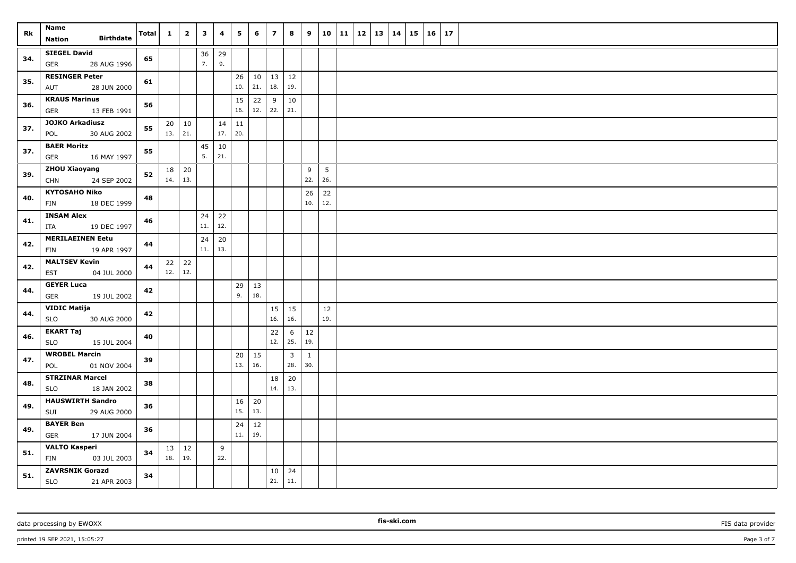| Rk  | Name<br><b>Birthdate</b><br>Nation                  | <b>Total</b> | $\mathbf{1}$ | $\overline{2}$ | $\mathbf{3}$ | 4          | 5         | 6         | $\overline{z}$ | 8            | 9            | 10 11     | $12$   13   14 |  | 15 | $16 \mid 17$ |  |  |
|-----|-----------------------------------------------------|--------------|--------------|----------------|--------------|------------|-----------|-----------|----------------|--------------|--------------|-----------|----------------|--|----|--------------|--|--|
|     | <b>SIEGEL David</b>                                 |              |              |                | 36           | 29         |           |           |                |              |              |           |                |  |    |              |  |  |
| 34. | GER<br>28 AUG 1996                                  | 65           |              |                | 7.           | 9.         |           |           |                |              |              |           |                |  |    |              |  |  |
| 35. | <b>RESINGER Peter</b>                               | 61           |              |                |              |            | 26        | 10        | 13             | 12           |              |           |                |  |    |              |  |  |
|     | AUT<br>28 JUN 2000                                  |              |              |                |              |            | 10.       | 21.       | 18.            | 19.          |              |           |                |  |    |              |  |  |
| 36. | <b>KRAUS Marinus</b><br><b>GER</b><br>13 FEB 1991   | 56           |              |                |              |            | 15<br>16. | 22<br>12. | 9<br>22.       | 10<br>21.    |              |           |                |  |    |              |  |  |
|     | <b>JOJKO Arkadiusz</b>                              |              | 20           | $\vert$ 10     |              | 14         | $11\,$    |           |                |              |              |           |                |  |    |              |  |  |
| 37. | 30 AUG 2002<br>POL                                  | 55           |              | 13.   21.      |              | 17.        | 20.       |           |                |              |              |           |                |  |    |              |  |  |
| 37. | <b>BAER Moritz</b>                                  | 55           |              |                | 45           | 10         |           |           |                |              |              |           |                |  |    |              |  |  |
|     | 16 MAY 1997<br><b>GER</b>                           |              |              |                | 5.           | 21.        |           |           |                |              |              |           |                |  |    |              |  |  |
| 39. | ZHOU Xiaoyang<br>24 SEP 2002<br><b>CHN</b>          | 52           | 14.          | $18$ 20<br>13. |              |            |           |           |                |              | 9<br>22.     | 5<br>26.  |                |  |    |              |  |  |
|     | <b>KYTOSAHO Niko</b>                                |              |              |                |              |            |           |           |                |              | 26           | 22        |                |  |    |              |  |  |
| 40. | FIN<br>18 DEC 1999                                  | 48           |              |                |              |            |           |           |                |              | 10.          | 12.       |                |  |    |              |  |  |
| 41. | <b>INSAM Alex</b>                                   | 46           |              |                | 24           | 22         |           |           |                |              |              |           |                |  |    |              |  |  |
|     | ITA<br>19 DEC 1997                                  |              |              |                | 11.          | 12.        |           |           |                |              |              |           |                |  |    |              |  |  |
| 42. | <b>MERILAEINEN Eetu</b><br><b>FIN</b>               | 44           |              |                | 24<br>11.    | 20<br> 13. |           |           |                |              |              |           |                |  |    |              |  |  |
|     | 19 APR 1997<br><b>MALTSEV Kevin</b>                 |              |              | $22 \mid 22$   |              |            |           |           |                |              |              |           |                |  |    |              |  |  |
| 42. | <b>EST</b><br>04 JUL 2000                           | 44           |              | $12.$ 12.      |              |            |           |           |                |              |              |           |                |  |    |              |  |  |
| 44. | <b>GEYER Luca</b>                                   | 42           |              |                |              |            | 29        | 13        |                |              |              |           |                |  |    |              |  |  |
|     | GER<br>19 JUL 2002                                  |              |              |                |              |            | 9.        | 18.       |                |              |              |           |                |  |    |              |  |  |
| 44. | <b>VIDIC Matija</b><br>30 AUG 2000<br><b>SLO</b>    | 42           |              |                |              |            |           |           | 15<br>16.      | 15<br>16.    |              | 12<br>19. |                |  |    |              |  |  |
|     | <b>EKART Taj</b>                                    |              |              |                |              |            |           |           | 22             | 6            | 12           |           |                |  |    |              |  |  |
| 46. | <b>SLO</b><br>15 JUL 2004                           | 40           |              |                |              |            |           |           | 12.            | 25.          | 19.          |           |                |  |    |              |  |  |
| 47. | <b>WROBEL Marcin</b>                                | 39           |              |                |              |            | 20        | 15        |                | $\mathbf{3}$ | $\mathbf{1}$ |           |                |  |    |              |  |  |
|     | 01 NOV 2004<br>POL                                  |              |              |                |              |            | 13.       | 16.       |                | 28.          | 30.          |           |                |  |    |              |  |  |
| 48. | <b>STRZINAR Marcel</b>                              | 38           |              |                |              |            |           |           | 18             | 20           |              |           |                |  |    |              |  |  |
|     | SLO<br>18 JAN 2002                                  |              |              |                |              |            |           |           | 14.            | 13.          |              |           |                |  |    |              |  |  |
| 49. | <b>HAUSWIRTH Sandro</b><br>29 AUG 2000<br>SUI       | 36           |              |                |              |            | 16<br>15. | 20<br>13. |                |              |              |           |                |  |    |              |  |  |
| 49. | <b>BAYER Ben</b>                                    | 36           |              |                |              |            | 24        | 12        |                |              |              |           |                |  |    |              |  |  |
|     | <b>GER</b><br>17 JUN 2004                           |              |              |                |              |            | 11.       | 19.       |                |              |              |           |                |  |    |              |  |  |
| 51. | <b>VALTO Kasperi</b>                                | 34           | 13           | 12             |              | 9          |           |           |                |              |              |           |                |  |    |              |  |  |
|     | FIN<br>03 JUL 2003                                  |              | 18.          | 19.            |              | 22.        |           |           |                |              |              |           |                |  |    |              |  |  |
| 51. | <b>ZAVRSNIK Gorazd</b><br><b>SLO</b><br>21 APR 2003 | 34           |              |                |              |            |           |           | 10<br>21.      | 24<br>11.    |              |           |                |  |    |              |  |  |

printed 19 SEP 2021, 15:05:27 Page 3 of 7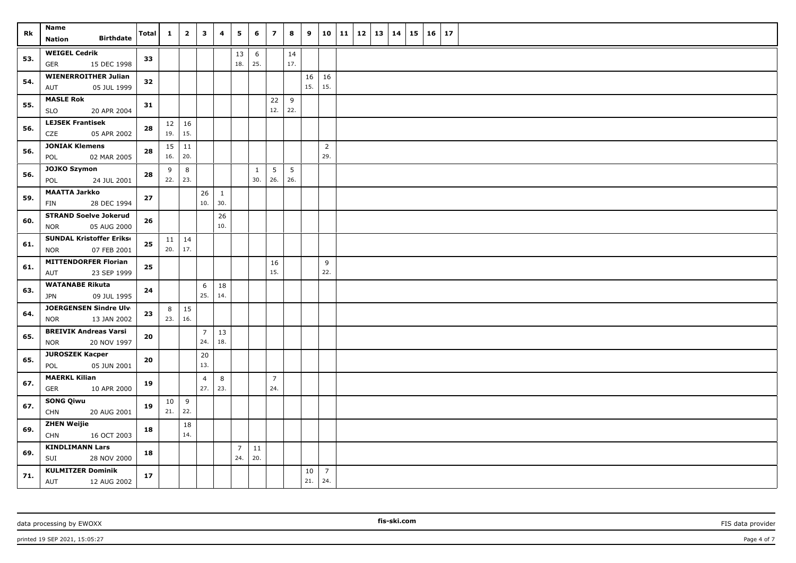| Rk  | Name<br><b>Birthdate</b><br><b>Nation</b>         | <b>Total</b> | 1         | $\overline{\mathbf{2}}$ | 3              | 4            | 5              | 6                   | $\overline{z}$ | 8         | 9         | 10                    | 11 | 12 | 13 | 14 | 15 | 16 | 17 |  |
|-----|---------------------------------------------------|--------------|-----------|-------------------------|----------------|--------------|----------------|---------------------|----------------|-----------|-----------|-----------------------|----|----|----|----|----|----|----|--|
|     |                                                   |              |           |                         |                |              |                |                     |                |           |           |                       |    |    |    |    |    |    |    |  |
| 53. | <b>WEIGEL Cedrik</b><br><b>GER</b><br>15 DEC 1998 | 33           |           |                         |                |              | 13<br>18.      | 6<br>25.            |                | 14<br>17. |           |                       |    |    |    |    |    |    |    |  |
|     | <b>WIENERROITHER Julian</b>                       |              |           |                         |                |              |                |                     |                |           | 16        | 16                    |    |    |    |    |    |    |    |  |
| 54. | 05 JUL 1999<br>AUT                                | 32           |           |                         |                |              |                |                     |                |           | 15.       | 15.                   |    |    |    |    |    |    |    |  |
| 55. | <b>MASLE Rok</b><br><b>SLO</b><br>20 APR 2004     | 31           |           |                         |                |              |                |                     | 22<br>12.      | 9<br>22.  |           |                       |    |    |    |    |    |    |    |  |
|     | <b>LEJSEK Frantisek</b>                           |              |           | $12 \mid 16$            |                |              |                |                     |                |           |           |                       |    |    |    |    |    |    |    |  |
| 56. | CZE<br>05 APR 2002                                | 28           | 19.       | 15.                     |                |              |                |                     |                |           |           |                       |    |    |    |    |    |    |    |  |
| 56. | <b>JONIAK Klemens</b>                             | 28           |           | $15 \mid 11$<br>20.     |                |              |                |                     |                |           |           | $\overline{2}$<br>29. |    |    |    |    |    |    |    |  |
|     | POL<br>02 MAR 2005                                |              | 16.       |                         |                |              |                |                     |                |           |           |                       |    |    |    |    |    |    |    |  |
| 56. | <b>JOJKO Szymon</b><br>24 JUL 2001<br>POL         | 28           | 9<br>22.  | 8<br>23.                |                |              |                | $\mathbf{1}$<br>30. | 5<br>26.       | 5<br>26.  |           |                       |    |    |    |    |    |    |    |  |
| 59. | <b>MAATTA Jarkko</b>                              | 27           |           |                         | 26             | $\mathbf{1}$ |                |                     |                |           |           |                       |    |    |    |    |    |    |    |  |
|     | FIN<br>28 DEC 1994                                |              |           |                         | 10.            | 30.          |                |                     |                |           |           |                       |    |    |    |    |    |    |    |  |
| 60. | <b>STRAND Soelve Jokerud</b>                      | 26           |           |                         |                | 26           |                |                     |                |           |           |                       |    |    |    |    |    |    |    |  |
|     | 05 AUG 2000<br><b>NOR</b>                         |              |           |                         |                | 10.          |                |                     |                |           |           |                       |    |    |    |    |    |    |    |  |
| 61. | <b>SUNDAL Kristoffer Erikse</b>                   | 25           |           | $11 \mid 14$            |                |              |                |                     |                |           |           |                       |    |    |    |    |    |    |    |  |
|     | 07 FEB 2001<br><b>NOR</b>                         |              | 20.       | 17.                     |                |              |                |                     |                |           |           |                       |    |    |    |    |    |    |    |  |
| 61. | <b>MITTENDORFER Florian</b>                       | 25           |           |                         |                |              |                |                     | 16             |           |           | 9                     |    |    |    |    |    |    |    |  |
|     | AUT<br>23 SEP 1999                                |              |           |                         |                |              |                |                     | 15.            |           |           | 22.                   |    |    |    |    |    |    |    |  |
| 63. | <b>WATANABE Rikuta</b>                            | 24           |           |                         | 6              | 18           |                |                     |                |           |           |                       |    |    |    |    |    |    |    |  |
|     | <b>JPN</b><br>09 JUL 1995                         |              |           |                         | 25.            | 14.          |                |                     |                |           |           |                       |    |    |    |    |    |    |    |  |
| 64. | JOERGENSEN Sindre Ulv                             | 23           | 8         | $\vert$ 15              |                |              |                |                     |                |           |           |                       |    |    |    |    |    |    |    |  |
|     | <b>NOR</b><br>13 JAN 2002                         |              | 23.   16. |                         |                |              |                |                     |                |           |           |                       |    |    |    |    |    |    |    |  |
| 65. | <b>BREIVIK Andreas Varsi</b>                      | 20           |           |                         | $\overline{7}$ | 13           |                |                     |                |           |           |                       |    |    |    |    |    |    |    |  |
|     | 20 NOV 1997<br><b>NOR</b>                         |              |           |                         | 24.            | 18.          |                |                     |                |           |           |                       |    |    |    |    |    |    |    |  |
| 65. | <b>JUROSZEK Kacper</b>                            | 20           |           |                         | 20             |              |                |                     |                |           |           |                       |    |    |    |    |    |    |    |  |
|     | 05 JUN 2001<br>POL                                |              |           |                         | 13.            |              |                |                     |                |           |           |                       |    |    |    |    |    |    |    |  |
| 67. | <b>MAERKL Kilian</b>                              | 19           |           |                         | $\overline{4}$ | 8            |                |                     | $\overline{7}$ |           |           |                       |    |    |    |    |    |    |    |  |
|     | GER<br>10 APR 2000                                |              |           |                         | 27.            | 23.          |                |                     | 24.            |           |           |                       |    |    |    |    |    |    |    |  |
| 67. | <b>SONG Qiwu</b>                                  | 19           | $10\,$    | 9                       |                |              |                |                     |                |           |           |                       |    |    |    |    |    |    |    |  |
|     | <b>CHN</b><br>20 AUG 2001                         |              | 21.       | 22.                     |                |              |                |                     |                |           |           |                       |    |    |    |    |    |    |    |  |
| 69. | <b>ZHEN Weijie</b>                                | 18           |           | $18\,$                  |                |              |                |                     |                |           |           |                       |    |    |    |    |    |    |    |  |
|     | <b>CHN</b><br>16 OCT 2003                         |              |           | 14.                     |                |              |                |                     |                |           |           |                       |    |    |    |    |    |    |    |  |
| 69. | <b>KINDLIMANN Lars</b>                            | 18           |           |                         |                |              | $\overline{7}$ | 11                  |                |           |           |                       |    |    |    |    |    |    |    |  |
|     | SUI<br>28 NOV 2000                                |              |           |                         |                |              | 24.            | 20.                 |                |           |           |                       |    |    |    |    |    |    |    |  |
| 71. | <b>KULMITZER Dominik</b><br>AUT<br>12 AUG 2002    | 17           |           |                         |                |              |                |                     |                |           | 10<br>21. | $\overline{7}$<br>24. |    |    |    |    |    |    |    |  |

data processing by EWOXX **FIS** data provider **FIS** data provider **FIS** data provider **FIS** data provider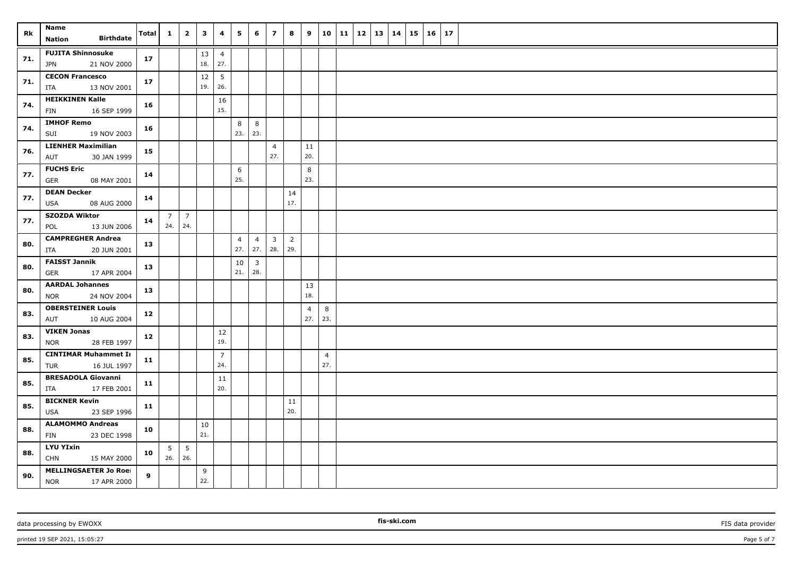| Rk  | Name<br><b>Birthdate</b><br>Nation                        | Total       | $\mathbf{1}$       | $\overline{2}$  | $\mathbf{3}$  | 4                      | 5                     | 6                     | $\overline{z}$                 | 8                     | 9                     |                       | 10 11 |  | $12 \mid 13 \mid 14$ | 15 | 16 | 17 |
|-----|-----------------------------------------------------------|-------------|--------------------|-----------------|---------------|------------------------|-----------------------|-----------------------|--------------------------------|-----------------------|-----------------------|-----------------------|-------|--|----------------------|----|----|----|
| 71. | <b>FUJITA Shinnosuke</b><br><b>JPN</b><br>21 NOV 2000     | 17          |                    |                 | 13<br>18.     | $\overline{4}$<br>27.  |                       |                       |                                |                       |                       |                       |       |  |                      |    |    |    |
| 71. | <b>CECON Francesco</b><br>13 NOV 2001<br>ITA              | 17          |                    |                 | 12<br>19.     | $5\phantom{.0}$<br>26. |                       |                       |                                |                       |                       |                       |       |  |                      |    |    |    |
| 74. | <b>HEIKKINEN Kalle</b><br>FIN<br>16 SEP 1999              | 16          |                    |                 |               | 16<br>15.              |                       |                       |                                |                       |                       |                       |       |  |                      |    |    |    |
| 74. | <b>IMHOF Remo</b><br>19 NOV 2003<br>SUI                   | 16          |                    |                 |               |                        | 8<br>23.              | 8<br>23.              |                                |                       |                       |                       |       |  |                      |    |    |    |
| 76. | <b>LIENHER Maximilian</b><br>AUT<br>30 JAN 1999           | 15          |                    |                 |               |                        |                       |                       | $\overline{4}$<br>27.          |                       | 11<br>20.             |                       |       |  |                      |    |    |    |
| 77. | <b>FUCHS Eric</b><br>08 MAY 2001<br>GER                   | 14          |                    |                 |               |                        | 6<br>25.              |                       |                                |                       | 8<br>23.              |                       |       |  |                      |    |    |    |
| 77. | <b>DEAN Decker</b><br>08 AUG 2000<br>USA                  | 14          |                    |                 |               |                        |                       |                       |                                | 14<br>17.             |                       |                       |       |  |                      |    |    |    |
| 77. | <b>SZOZDA Wiktor</b><br>POL<br>13 JUN 2006                | 14          | . 7 I<br>$24.$ 24. | $\overline{7}$  |               |                        |                       |                       |                                |                       |                       |                       |       |  |                      |    |    |    |
| 80. | <b>CAMPREGHER Andrea</b><br>20 JUN 2001<br>ITA            | 13          |                    |                 |               |                        | $\overline{4}$<br>27. | $\overline{4}$<br>27. | $\overline{\mathbf{3}}$<br>28. | $\overline{2}$<br>29. |                       |                       |       |  |                      |    |    |    |
| 80. | <b>FAISST Jannik</b><br>17 APR 2004<br>GER                | 13          |                    |                 |               |                        | 10<br>21.             | $\overline{3}$<br>28. |                                |                       |                       |                       |       |  |                      |    |    |    |
| 80. | <b>AARDAL Johannes</b><br>24 NOV 2004<br><b>NOR</b>       | 13          |                    |                 |               |                        |                       |                       |                                |                       | 13<br>18.             |                       |       |  |                      |    |    |    |
| 83. | <b>OBERSTEINER Louis</b><br>AUT<br>10 AUG 2004            | 12          |                    |                 |               |                        |                       |                       |                                |                       | $\overline{4}$<br>27. | 8<br>23.              |       |  |                      |    |    |    |
| 83. | <b>VIKEN Jonas</b><br>28 FEB 1997<br><b>NOR</b>           | 12          |                    |                 |               | 12<br>19.              |                       |                       |                                |                       |                       |                       |       |  |                      |    |    |    |
| 85. | <b>CINTIMAR Muhammet Ir</b><br>TUR<br>16 JUL 1997         | 11          |                    |                 |               | $\overline{7}$<br>24.  |                       |                       |                                |                       |                       | $\overline{4}$<br>27. |       |  |                      |    |    |    |
| 85. | <b>BRESADOLA Giovanni</b><br>ITA<br>17 FEB 2001           | 11          |                    |                 |               | 11<br>20.              |                       |                       |                                |                       |                       |                       |       |  |                      |    |    |    |
| 85. | <b>BICKNER Kevin</b><br>23 SEP 1996<br>USA                | 11          |                    |                 |               |                        |                       |                       |                                | 11<br>20.             |                       |                       |       |  |                      |    |    |    |
| 88. | <b>ALAMOMMO Andreas</b><br>FIN<br>23 DEC 1998             | 10          |                    |                 | $10\,$<br>21. |                        |                       |                       |                                |                       |                       |                       |       |  |                      |    |    |    |
| 88. | <b>LYU YIxin</b><br><b>CHN</b><br>15 MAY 2000             | 10          | 5<br>$26.$ 26.     | $5\phantom{.0}$ |               |                        |                       |                       |                                |                       |                       |                       |       |  |                      |    |    |    |
| 90. | <b>MELLINGSAETER Jo Roei</b><br><b>NOR</b><br>17 APR 2000 | $9^{\circ}$ |                    |                 | 9<br>22.      |                        |                       |                       |                                |                       |                       |                       |       |  |                      |    |    |    |

data processing by EWOXX **Fission FIS data provider FIS data provider FIS data provider FIS data provider** 

printed 19 SEP 2021, 15:05:27 Page 5 of 7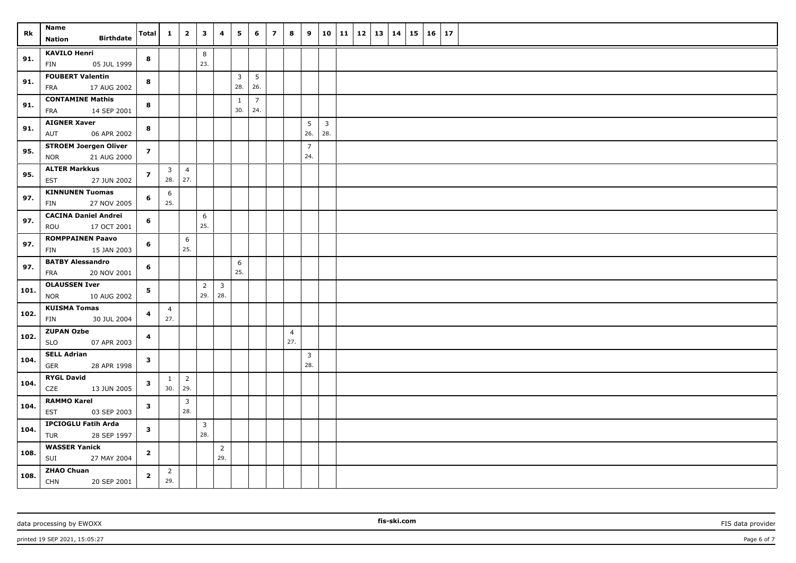| Rk   | Name                                                      | Total          | $\mathbf{1}$                   | $\overline{\mathbf{2}}$ | $\overline{\mathbf{3}}$ | 4                     | 5                     | 6                     | $\overline{z}$ | 8                     | 9                      |                       | 10   11   12   13   14 |  | $15 \mid 16$ | 17 |  |
|------|-----------------------------------------------------------|----------------|--------------------------------|-------------------------|-------------------------|-----------------------|-----------------------|-----------------------|----------------|-----------------------|------------------------|-----------------------|------------------------|--|--------------|----|--|
|      | <b>Birthdate</b><br><b>Nation</b>                         |                |                                |                         |                         |                       |                       |                       |                |                       |                        |                       |                        |  |              |    |  |
| 91.  | <b>KAVILO Henri</b><br>FIN<br>05 JUL 1999                 | 8              |                                |                         | 8<br>23.                |                       |                       |                       |                |                       |                        |                       |                        |  |              |    |  |
| 91.  | <b>FOUBERT Valentin</b><br>17 AUG 2002<br>FRA             | 8              |                                |                         |                         |                       | $\overline{3}$<br>28. | $\overline{5}$<br>26. |                |                       |                        |                       |                        |  |              |    |  |
| 91.  | <b>CONTAMINE Mathis</b><br><b>FRA</b><br>14 SEP 2001      | 8              |                                |                         |                         |                       | $\mathbf{1}$<br>30.   | $\overline{7}$<br>24. |                |                       |                        |                       |                        |  |              |    |  |
| 91.  | <b>AIGNER Xaver</b><br>AUT<br>06 APR 2002                 | 8              |                                |                         |                         |                       |                       |                       |                |                       | $5\overline{)}$<br>26. | $\overline{3}$<br>28. |                        |  |              |    |  |
| 95.  | <b>STROEM Joergen Oliver</b><br><b>NOR</b><br>21 AUG 2000 | $\overline{7}$ |                                |                         |                         |                       |                       |                       |                |                       | $\overline{7}$<br>24.  |                       |                        |  |              |    |  |
| 95.  | <b>ALTER Markkus</b><br>27 JUN 2002<br><b>EST</b>         | $\overline{z}$ | $\overline{\mathbf{3}}$<br>28. | $\overline{4}$<br>27.   |                         |                       |                       |                       |                |                       |                        |                       |                        |  |              |    |  |
| 97.  | <b>KINNUNEN Tuomas</b><br>FIN<br>27 NOV 2005              | 6              | 6<br>25.                       |                         |                         |                       |                       |                       |                |                       |                        |                       |                        |  |              |    |  |
| 97.  | <b>CACINA Daniel Andrei</b><br>ROU<br>17 OCT 2001         | 6              |                                |                         | 6<br>25.                |                       |                       |                       |                |                       |                        |                       |                        |  |              |    |  |
| 97.  | <b>ROMPPAINEN Paavo</b><br>15 JAN 2003<br>FIN             | 6              |                                | 6<br>25.                |                         |                       |                       |                       |                |                       |                        |                       |                        |  |              |    |  |
| 97.  | <b>BATBY Alessandro</b><br>20 NOV 2001<br>FRA             | 6              |                                |                         |                         |                       | 6<br>25.              |                       |                |                       |                        |                       |                        |  |              |    |  |
| 101. | <b>OLAUSSEN Iver</b><br><b>NOR</b><br>10 AUG 2002         | 5              |                                |                         | $\overline{2}$<br>29.   | $\mathbf{3}$<br>28.   |                       |                       |                |                       |                        |                       |                        |  |              |    |  |
| 102. | <b>KUISMA Tomas</b><br>30 JUL 2004<br>FIN                 | 4              | $\overline{4}$<br>27.          |                         |                         |                       |                       |                       |                |                       |                        |                       |                        |  |              |    |  |
| 102. | <b>ZUPAN Ozbe</b><br>07 APR 2003<br><b>SLO</b>            | 4              |                                |                         |                         |                       |                       |                       |                | $\overline{4}$<br>27. |                        |                       |                        |  |              |    |  |
| 104. | <b>SELL Adrian</b><br>28 APR 1998<br><b>GER</b>           | $\mathbf{3}$   |                                |                         |                         |                       |                       |                       |                |                       | $\overline{3}$<br>28.  |                       |                        |  |              |    |  |
| 104. | <b>RYGL David</b><br>CZE<br>13 JUN 2005                   | $\mathbf{3}$   | $\mathbf{1}$<br>30.            | $\overline{2}$<br>29.   |                         |                       |                       |                       |                |                       |                        |                       |                        |  |              |    |  |
| 104. | <b>RAMMO Karel</b><br><b>EST</b><br>03 SEP 2003           | 3              |                                | $\overline{3}$<br>28.   |                         |                       |                       |                       |                |                       |                        |                       |                        |  |              |    |  |
| 104. | <b>IPCIOGLU Fatih Arda</b><br><b>TUR</b><br>28 SEP 1997   | $\mathbf{3}$   |                                |                         | $\overline{3}$<br>28.   |                       |                       |                       |                |                       |                        |                       |                        |  |              |    |  |
| 108. | <b>WASSER Yanick</b><br>SUI<br>27 MAY 2004                | $\overline{2}$ |                                |                         |                         | $\overline{2}$<br>29. |                       |                       |                |                       |                        |                       |                        |  |              |    |  |
| 108. | <b>ZHAO Chuan</b><br><b>CHN</b><br>20 SEP 2001            | $\overline{2}$ | $\overline{2}$<br>29.          |                         |                         |                       |                       |                       |                |                       |                        |                       |                        |  |              |    |  |

printed 19 SEP 2021, 15:05:27 Page 6 of 7